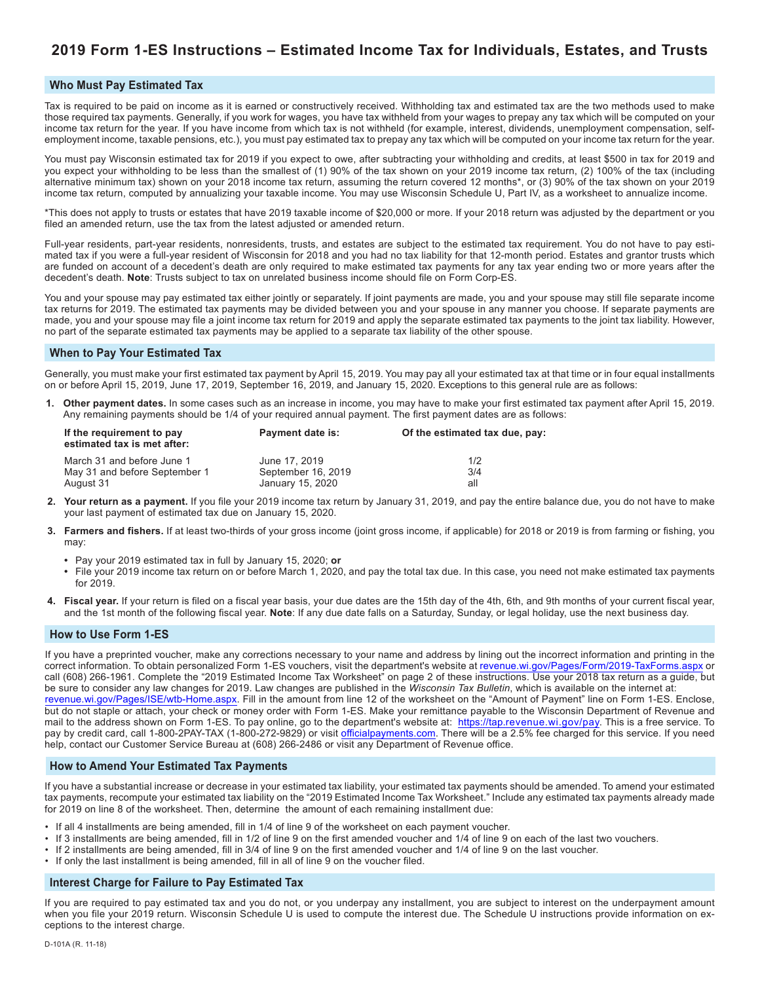# **2019 Form 1-ES Instructions – Estimated Income Tax for Individuals, Estates, and Trusts**

#### **Who Must Pay Estimated Tax**

Tax is required to be paid on income as it is earned or constructively received. Withholding tax and estimated tax are the two methods used to make those required tax payments. Generally, if you work for wages, you have tax withheld from your wages to prepay any tax which will be computed on your income tax return for the year. If you have income from which tax is not withheld (for example, interest, dividends, unemployment compensation, selfemployment income, taxable pensions, etc.), you must pay estimated tax to prepay any tax which will be computed on your income tax return for the year.

You must pay Wisconsin estimated tax for 2019 if you expect to owe, after subtracting your withholding and credits, at least \$500 in tax for 2019 and you expect your withholding to be less than the smallest of (1) 90% of the tax shown on your 2019 income tax return, (2) 100% of the tax (including alternative minimum tax) shown on your 2018 income tax return, assuming the return covered 12 months\*, or (3) 90% of the tax shown on your 2019 income tax return, computed by annualizing your taxable income. You may use Wisconsin Schedule U, Part IV, as a worksheet to annualize income.

\*This does not apply to trusts or estates that have 2019 taxable income of \$20,000 or more. If your 2018 return was adjusted by the department or you filed an amended return, use the tax from the latest adjusted or amended return.

Full-year residents, part-year residents, nonresidents, trusts, and estates are subject to the estimated tax requirement. You do not have to pay estimated tax if you were a full-year resident of Wisconsin for 2018 and you had no tax liability for that 12-month period. Estates and grantor trusts which are funded on account of a decedent's death are only required to make estimated tax payments for any tax year ending two or more years after the decedent's death. **Note**: Trusts subject to tax on unrelated business income should file on Form Corp-ES.

You and your spouse may pay estimated tax either jointly or separately. If joint payments are made, you and your spouse may still file separate income tax returns for 2019. The estimated tax payments may be divided between you and your spouse in any manner you choose. If separate payments are made, you and your spouse may file a joint income tax return for 2019 and apply the separate estimated tax payments to the joint tax liability. However, no part of the separate estimated tax payments may be applied to a separate tax liability of the other spouse.

#### **When to Pay Your Estimated Tax**

Generally, you must make your first estimated tax payment by April 15, 2019. You may pay all your estimated tax at that time or in four equal installments on or before April 15, 2019, June 17, 2019, September 16, 2019, and January 15, 2020. Exceptions to this general rule are as follows:

**1. Other payment dates.** In some cases such as an increase in income, you may have to make your first estimated tax payment after April 15, 2019. Any remaining payments should be 1/4 of your required annual payment. The first payment dates are as follows:

| If the requirement to pay<br>estimated tax is met after: | Payment date is:   | Of the estimated tax due, pay: |
|----------------------------------------------------------|--------------------|--------------------------------|
| March 31 and before June 1                               | June 17, 2019      | 1/2                            |
| May 31 and before September 1                            | September 16, 2019 | 3/4                            |
| August 31                                                | January 15, 2020   | all                            |

- **2. Your return as a payment.** If you file your 2019 income tax return by January 31, 2019, and pay the entire balance due, you do not have to make your last payment of estimated tax due on January 15, 2020.
- **3. Farmers and fishers.** If at least two-thirds of your gross income (joint gross income, if applicable) for 2018 or 2019 is from farming or fishing, you may:
	- **•** Pay your 2019 estimated tax in full by January 15, 2020; **or**
	- **•** File your 2019 income tax return on or before March 1, 2020, and pay the total tax due. In this case, you need not make estimated tax payments for 2019.
- **4. Fiscal year.** If your return is filed on a fiscal year basis, your due dates are the 15th day of the 4th, 6th, and 9th months of your current fiscal year, and the 1st month of the following fiscal year. **Note**: If any due date falls on a Saturday, Sunday, or legal holiday, use the next business day.

#### **How to Use Form 1-ES**

If you have a preprinted voucher, make any corrections necessary to your name and address by lining out the incorrect information and printing in the correct information. To obtain personalized Form 1-ES vouchers, visit the department's website at [revenue.wi.gov/Pages/Form/2019-TaxForms.aspx](https://www.revenue.wi.gov/Pages/Form/2019-TaxForms.aspx) or call (608) 266-1961. Complete the "2019 Estimated Income Tax Worksheet" on page 2 of these instructions. Use your 2018 tax return as a guide, but be sure to consider any law changes for 2019. Law changes are published in the *Wisconsin Tax Bulletin*, which is available on the internet at: [revenue.wi.gov](https://www.revenue.wi.gov/Pages/ISE/wtb-Home.aspx)/Pages/ISE/wtb-Home.aspx. Fill in the amount from line 12 of the worksheet on the "Amount of Payment" line on Form 1-ES. Enclose, but do not staple or attach, your check or money order with Form 1-ES. Make your remittance payable to the Wisconsin Department of Revenue and mail to the address shown on Form 1-ES. To pay online, go to the department's website at: <https://tap.revenue.wi.gov/pay>. This is a free service. To pay by credit card, call 1-800-2PAY-TAX (1-800-272-9829) or visit [officialpayments.com](https://www.officialpayments.com). There will be a 2.5% fee charged for this service. If you need help, contact our Customer Service Bureau at (608) 266-2486 or visit any Department of Revenue office.

#### **How to Amend Your Estimated Tax Payments**

If you have a substantial increase or decrease in your estimated tax liability, your estimated tax payments should be amended. To amend your estimated tax payments, recompute your estimated tax liability on the "2019 Estimated Income Tax Worksheet." Include any estimated tax payments already made for 2019 on line 8 of the worksheet. Then, determine the amount of each remaining installment due:

- If all 4 installments are being amended, fill in 1/4 of line 9 of the worksheet on each payment voucher.
- If 3 installments are being amended, fill in 1/2 of line 9 on the first amended voucher and 1/4 of line 9 on each of the last two vouchers.
- If 2 installments are being amended, fill in 3/4 of line 9 on the first amended voucher and 1/4 of line 9 on the last voucher.
- If only the last installment is being amended, fill in all of line 9 on the voucher filed.

#### **Interest Charge for Failure to Pay Estimated Tax**

If you are required to pay estimated tax and you do not, or you underpay any installment, you are subject to interest on the underpayment amount when you file your 2019 return. Wisconsin Schedule U is used to compute the interest due. The Schedule U instructions provide information on exceptions to the interest charge.